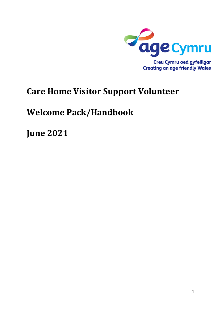

# **Care Home Visitor Support Volunteer**

# **Welcome Pack/Handbook**

**June 2021**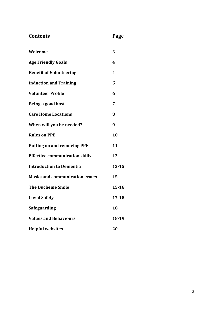| Contents | Page |
|----------|------|
|          |      |

| Welcome                               | 3                |
|---------------------------------------|------------------|
| <b>Age Friendly Goals</b>             | 4                |
| <b>Benefit of Volunteering</b>        | $\boldsymbol{4}$ |
| <b>Induction and Training</b>         | 5                |
| <b>Volunteer Profile</b>              | 6                |
| Being a good host                     | 7                |
| <b>Care Home Locations</b>            | 8                |
| When will you be needed?              | 9                |
| <b>Rules on PPE</b>                   | 10               |
| <b>Putting on and removing PPE</b>    | 11               |
| <b>Effective communication skills</b> | 12               |
| <b>Introduction to Dementia</b>       | $13 - 15$        |
| <b>Masks and communication issues</b> | 15               |
| <b>The Ducheme Smile</b>              | $15 - 16$        |
| <b>Covid Safety</b>                   | $17 - 18$        |
| <b>Safeguarding</b>                   | 18               |
| <b>Values and Behaviours</b>          | 18-19            |
| <b>Helpful websites</b>               | 20               |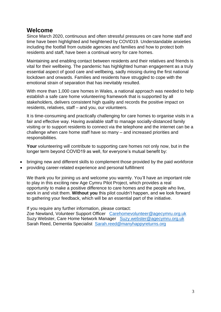# **Welcome**

Since March 2020, continuous and often stressful pressures on care home staff and time have been highlighted and heightened by COVID19. Understandable anxieties including the footfall from outside agencies and families and how to protect both residents and staff, have been a continual worry for care homes.

Maintaining and enabling contact between residents and their relatives and friends is vital for their wellbeing. The pandemic has highlighted human engagement as a truly essential aspect of good care and wellbeing, sadly missing during the first national lockdown and onwards. Families and residents have struggled to cope with the emotional strain of separation that has inevitably resulted.

With more than 1,000 care homes in Wales, a national approach was needed to help establish a safe care home volunteering framework that is supported by all stakeholders, delivers consistent high quality and records the positive impact on residents, relatives, staff – and you, our volunteers.

It is time-consuming and practically challenging for care homes to organise visits in a fair and effective way. Having available staff to manage socially-distanced family visiting or to support residents to connect via the telephone and the internet can be a challenge when care home staff have so many – and increased priorities and responsibilities.

**Your** volunteering will contribute to supporting care homes not only now, but in the longer term beyond COVID19 as well, for everyone's mutual benefit by:

- bringing new and different skills to complement those provided by the paid workforce
- providing career-related experience and personal fulfillment

We thank you for joining us and welcome you warmly. You'll have an important role to play in this exciting new Age Cymru Pilot Project, which provides a real opportunity to make a positive difference to care homes and the people who live, work in and visit them. **Without you** this pilot couldn't happen, and we look forward to gathering your feedback, which will be an essential part of the initiative.

If you require any further information, please contact:

Zoe Newland, Volunteer Support Officer [Carehomevolunteer@agecymru.org.uk](mailto:Carehomevolunteer@agecymru.org.uk) Suzy Webster, Care Home Network Manager [Suzy.webster@agecymru.org.uk](mailto:Suzy.webster@agecymru.org.uk) Sarah Reed, Dementia Specialist [Sarah.reed@manyhappyreturns.org](mailto:Sarah.reed@manyhappyreturns.org)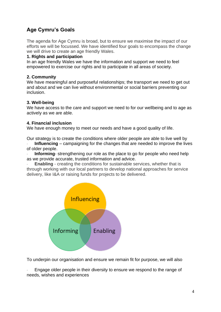# **Age Cymru's Goals**

The agenda for Age Cymru is broad, but to ensure we maximise the impact of our efforts we will be focussed. We have identified four goals to encompass the change we will drive to create an age friendly Wales.

#### **1. Rights and participation**

In an age friendly Wales we have the information and support we need to feel empowered to exercise our rights and to participate in all areas of society.

#### **2. Community**

We have meaningful and purposeful relationships; the transport we need to get out and about and we can live without environmental or social barriers preventing our inclusion.

#### **3. Well-being**

We have access to the care and support we need to for our wellbeing and to age as actively as we are able.

#### **4. Financial inclusion**

We have enough money to meet our needs and have a good quality of life.

Our strategy is to create the conditions where older people are able to live well by

**Influencing** – campaigning for the changes that are needed to improve the lives of older people.

**Informing**- strengthening our role as the place to go for people who need help as we provide accurate, trusted information and advice.

**Enabling** - creating the conditions for sustainable services, whether that is through working with our local partners to develop national approaches for service delivery, like I&A or raising funds for projects to be delivered.



To underpin our organisation and ensure we remain fit for purpose, we will also

Engage older people in their diversity to ensure we respond to the range of needs, wishes and experiences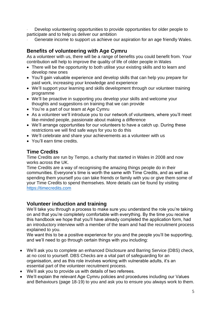Develop volunteering opportunities to provide opportunities for older people to participate and to help us deliver our ambition

Generate income to support us achieve our aspiration for an age friendly Wales.

## **Benefits of volunteering with Age Cymru**

As a volunteer with us, there will be a range of benefits you could benefit from. Your contribution will help to improve the quality of life of older people in Wales

- There will be the opportunity to both utilise your existing skills and to learn and develop new ones
- You'll gain valuable experience and develop skills that can help you prepare for paid work, increasing your knowledge and experience
- We'll support your learning and skills development through our volunteer training programme
- We'll be proactive in supporting you develop your skills and welcome your thoughts and suggestions on training that we can provide
- You're a part of our team at Age Cymru
- As a volunteer we'll introduce you to our network of volunteers, where you'll meet like-minded people, passionate about making a difference
- We'll arrange opportunities for our volunteers to have a catch up. During these restrictions we will find safe ways for you to do this
- We'll celebrate and share your achievements as a volunteer with us
- You'll earn time credits.

## **Time Credits**

Time Credits are run by Tempo, a charity that started in Wales in 2008 and now works across the UK.

Time Credits are a way of recognising the amazing things people do in their communities. Everyone's time is worth the same with Time Credits, and as well as spending them yourself you can take friends or family with you or give them some of your Time Credits to spend themselves. More details can be found by visiting [https://timecredits.com](https://timecredits.com/)

## **Volunteer induction and training**

We'll take you through a process to make sure you understand the role you're taking on and that you're completely comfortable with everything. By the time you receive this handbook we hope that you'll have already completed the application form, had an introductory interview with a member of the team and had the recruitment process explained to you.

We want this to be a positive experience for you and the people you'll be supporting, and we'll need to go through certain things with you including:

- We'll ask you to complete an enhanced Disclosure and Barring Service (DBS) check, at no cost to yourself. DBS Checks are a vital part of safeguarding for an organisation, and as this role involves working with vulnerable adults, it's an essential part of the volunteer recruitment process.
- We'll ask you to provide us with details of two referees.
- We'll explain the relevant Age Cymru policies and procedures including our Values and Behaviours (page 18-19) to you and ask you to ensure you always work to them.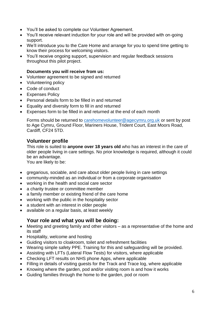- You'll be asked to complete our Volunteer Agreement.
- You'll receive relevant induction for your role and will be provided with on-going support.
- We'll introduce you to the Care Home and arrange for you to spend time getting to know their process for welcoming visitors.
- You'll receive ongoing support, supervision and regular feedback sessions throughout this pilot project.

#### **Documents you will receive from us:**

- Volunteer agreement to be signed and returned
- Volunteering policy
- Code of conduct
- Expenses Policy
- Personal details form to be filled in and returned
- Equality and diversity form to fill in and returned
- Expenses form to be filled in and returned at the end of each month

Forms should be returned to [carehomevolunteer@agecymru.org.uk](mailto:carehomevolunteer@agecymru.org.uk) or sent by post to Age Cymru, Ground Floor, Mariners House, Trident Court, East Moors Road, Cardiff, CF24 5TD.

## **Volunteer profile**

This role is suited to **anyone over 18 years old** who has an interest in the care of older people living in care settings. No prior knowledge is required, although it could be an advantage.

You are likely to be:

- gregarious, sociable, and care about older people living in care settings
- community-minded as an individual or from a corporate organisation
- working in the health and social care sector
- a charity trustee or committee member
- a family member or existing friend of the care home
- working with the public in the hospitality sector
- a student with an interest in older people
- available on a regular basis, at least weekly

## **Your role and what you will be doing:**

- Meeting and greeting family and other visitors as a representative of the home and its staff
- Hospitality, welcome and hosting
- Guiding visitors to cloakroom, toilet and refreshment facilities
- Wearing simple safety PPE. Training for this and safeguarding will be provided.
- Assisting with LFTs (Lateral Flow Tests) for visitors, where applicable
- Checking LFT results on NHS phone Apps, where applicable
- Filling in details of visiting guests for the Track and Trace log, where applicable
- Knowing where the garden, pod and/or visiting room is and how it works
- Guiding families through the home to the garden, pod or room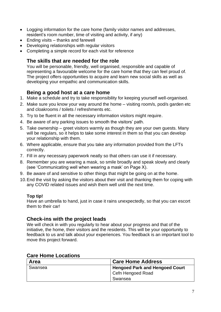- Logging information for the care home (family visitor names and addresses, resident's room number, time of visiting and activity, if any)
- Ending visits thanks and farewell
- Developing relationships with regular visitors
- Completing a simple record for each visit for reference

# **The skills that are needed for the role**

You will be personable, friendly, well organised, responsible and capable of representing a favourable welcome for the care home that they can feel proud of. The project offers opportunities to acquire and learn new social skills as well as developing your empathic and communication skills.

# **Being a good host at a care home**

- 1. Make a schedule and try to take responsibility for keeping yourself well-organised.
- 2. Make sure you know your way around the home visiting room/s, pod/s garden etc and cloakrooms / toilets / refreshments etc.
- 3. Try to be fluent in all the necessary information visitors might require.
- 4. Be aware of any parking issues to smooth the visitors' path.
- 5. Take ownership greet visitors warmly as though they are your own guests. Many will be regulars, so it helps to take some interest in them so that you can develop your relationship with them.
- 6. Where applicable, ensure that you take any information provided from the LFTs correctly.
- 7. Fill in any necessary paperwork neatly so that others can use it if necessary.
- 8. Remember you are wearing a mask, so smile broadly and speak slowly and clearly (see 'Communicating well when wearing a mask' on Page X).
- 9. Be aware of and sensitive to other things that might be going on at the home.
- 10.End the visit by asking the visitors about their visit and thanking them for coping with any COVID related issues and wish them well until the next time.

## **Top tip!**

Have an umbrella to hand, just in case it rains unexpectedly, so that you can escort them to their car!

## **Check-ins with the project leads**

We will check in with you regularly to hear about your progress and that of the initiative, the home, their visitors and the residents. This will be your opportunity to feedback to us and talk about your experiences. You feedback is an important tool to move this project forward.

## **Care Home Locations**

| Area    | <b>Care Home Address</b>                                   |
|---------|------------------------------------------------------------|
| Swansea | <b>Hengoed Park and Hengoed Court</b><br>Cefn Hengoed Road |
|         | Swansea                                                    |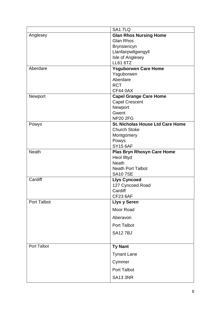|                    | SA1 7LQ                                    |
|--------------------|--------------------------------------------|
| Anglesey           | <b>Glan Rhos Nursing Home</b>              |
|                    | <b>Glan Rhos</b>                           |
|                    | <b>Brynsiencyn</b>                         |
|                    | Llanfairpwllgwngyll                        |
|                    | Isle of Anglesey                           |
|                    | <b>LL61 6TZ</b>                            |
| Aberdare           | <b>Ysguborwen Care Home</b>                |
|                    | Ysguborwen<br>Aberdare                     |
|                    | <b>RCT</b>                                 |
|                    | <b>CF44 0AX</b>                            |
| Newport            | <b>Capel Grange Care Home</b>              |
|                    | <b>Capel Crescent</b>                      |
|                    | Newport                                    |
|                    | Gwent                                      |
|                    | <b>NP20 2FG</b>                            |
| Powys              | <b>St. Nicholas House Ltd Care Home</b>    |
|                    | <b>Church Stoke</b>                        |
|                    | Montgomery                                 |
|                    | Powys                                      |
|                    | <b>SY15 6AF</b>                            |
| <b>Neath</b>       | <b>Plas Bryn Rhosyn Care Home</b>          |
|                    | <b>Heol Illtyd</b>                         |
|                    | <b>Neath</b>                               |
|                    | <b>Neath Port Talbot</b><br><b>SA107SE</b> |
| Cardiff            | <b>Llys Cyncoed</b>                        |
|                    | 127 Cyncoed Road                           |
|                    | Cardiff                                    |
|                    | <b>CF23 6AF</b>                            |
| <b>Port Talbot</b> | <b>Llys y Seren</b>                        |
|                    | Moor Road                                  |
|                    | Aberavon                                   |
|                    | <b>Port Talbot</b>                         |
|                    | <b>SA127BJ</b>                             |
|                    |                                            |
| Port Talbot        | <b>Ty Nant</b>                             |
|                    | <b>Tynant Lane</b>                         |
|                    | Cymmer                                     |
|                    | Port Talbot                                |
|                    | <b>SA13 3NR</b>                            |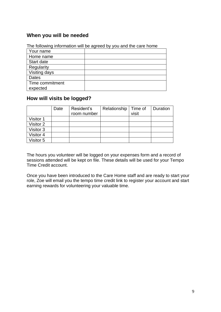# **When you will be needed**

|                 | The following information will be agreed by you and the care home |
|-----------------|-------------------------------------------------------------------|
| Your name       |                                                                   |
| Home name       |                                                                   |
| Start date      |                                                                   |
| Regularity      |                                                                   |
| Visiting days   |                                                                   |
| <b>Dates</b>    |                                                                   |
| Time commitment |                                                                   |
| expected        |                                                                   |

The following information will be agreed by you and the care home

# **How will visits be logged?**

|           | Date | Resident's  | Relationship   Time of |       | Duration |
|-----------|------|-------------|------------------------|-------|----------|
|           |      | room number |                        | visit |          |
| Visitor 1 |      |             |                        |       |          |
| Visitor 2 |      |             |                        |       |          |
| Visitor 3 |      |             |                        |       |          |
| Visitor 4 |      |             |                        |       |          |
| Visitor 5 |      |             |                        |       |          |

The hours you volunteer will be logged on your expenses form and a record of sessions attended will be kept on file. These details will be used for your Tempo Time Credit account.

Once you have been introduced to the Care Home staff and are ready to start your role, Zoe will email you the tempo time credit link to register your account and start earning rewards for volunteering your valuable time.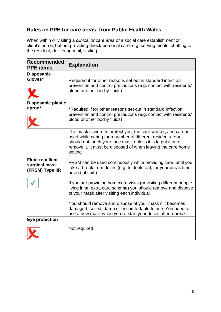# **Rules on PPE for care areas, from Public Health Wales**

When within or visiting a *clinical or care area* of a social care establishment or client's home, but not providing direct/ personal care: e.g. serving meals, chatting to the resident, delivering mail, visiting

| Recommended<br><b>PPE</b> items                            | <b>Explanation</b>                                                                                                                                                                                                                                                    |
|------------------------------------------------------------|-----------------------------------------------------------------------------------------------------------------------------------------------------------------------------------------------------------------------------------------------------------------------|
| <b>Disposable</b><br>Gloves*                               | Required if for other reasons set out in standard infection<br>prevention and control precautions (e.g. contact with residents'<br>blood or other bodily fluids)                                                                                                      |
| Disposable plastic<br>apron*                               | *Required if for other reasons set out in standard infection<br>prevention and control precautions (e.g. contact with residents'<br>blood or other bodily fluids)                                                                                                     |
|                                                            | The mask is worn to protect you, the care worker, and can be<br>used while caring for a number of different residents. You<br>should not touch your face mask unless it is to put it on or<br>remove it. It must be disposed of when leaving the care home<br>setting |
| <b>Fluid-repellent</b><br>surgical mask<br>(FRSM) Type IIR | FRSM can be used continuously while providing care, until you<br>take a break from duties (e.g. to drink, eat, for your break time<br>or end of shift)                                                                                                                |
|                                                            | If you are providing homecare visits (or visiting different people<br>living in an extra care scheme) you should remove and dispose<br>of your mask after visiting each individual                                                                                    |
|                                                            | You should remove and dispose of your mask if it becomes<br>damaged, soiled, damp or uncomfortable to use. You need to<br>use a new mask when you re-start your duties after a break.                                                                                 |
| Eye protection                                             | Not required                                                                                                                                                                                                                                                          |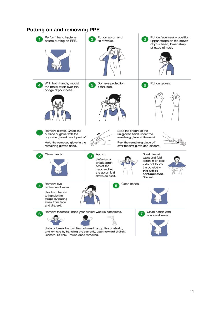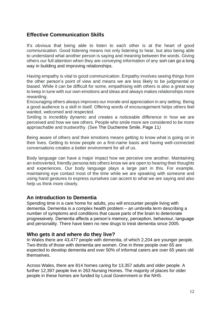# **Effective Communication Skills**

It's obvious that being able to listen to each other is at the heart of good communication. Good listening means not only listening to hear, but also being able to understand what another person is saying and meaning between the words. Giving others our full attention when they are conveying information of any sort can go a long way in building and improving relationships.

Having empathy is vital to good communication. Empathy involves seeing things from the other person's point of view and means we are less likely to be judgmental or biased. While it can be difficult for some, empathising with others is also a great way to keep in tune with our own emotions and ideas and always makes relationships more rewarding.

Encouraging others always improves our morale and appreciation in any setting. Being a good audience is a skill in itself. Offering words of encouragement helps others feel wanted, welcomed and respected.

Smiling is incredibly dynamic and creates a noticeable difference in how we are perceived and how we see others. People who smile more are considered to be more approachable and trustworthy. (See The Duchenne Smile, Page 11*)*

Being aware of others and their emotions means getting to know what is going on in their lives. Getting to know people on a first-name basis and having well-connected conversations creates a better environment for all of us.

Body language can have a major impact how we perceive one another. Maintaining an extroverted, friendly persona lets others know we are open to hearing their thoughts and experiences. Our body language plays a large part in this. For example, maintaining eye contact most of the time while we are speaking with someone and using hand gestures to express ourselves can accent to what we are saying and also help us think more clearly.

## **An introduction to Dementia**

Spending time in a care home for adults, you will encounter people living with dementia. Dementia is a complex health problem – an umbrella term describing a number of symptoms and conditions that cause parts of the brain to deteriorate progressively. Dementia affects a person's memory, perception, behaviour, language and personality. There have been no new drugs to treat dementia since 2005.

#### **Who gets it and where do they live?**

In Wales there are 43,477 people with dementia, of which 2,204 are younger people. Two-thirds of those with dementia are women. One in three people over 65 are expected to develop dementia and over 50% of informal carers are over 65 years old themselves.

Across Wales, there are 814 homes caring for 13,357 adults and older people. A further 12,397 people live in 263 Nursing Homes. The majority of places for older people in these homes are funded by Local Government or the NHS.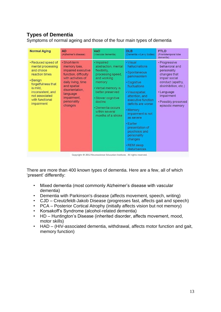# **Types of Dementia**

Symptoms of normal ageing and those of the four main types of dementia

| <b>Normal Aging</b>                                                                                                                                                                           | <b>AD</b><br>(Alzheimer's disease)                                                                                                                                                                            | VaD<br>(Vascular dementia)                                                                                                                                                                                                              | <b>DLB</b><br>(Dementia w/Lewy bodies)                                                                                                                                                                                                                                                                                              | <b>FTLD</b><br>(Frontotemporal lobe)<br>dementia)                                                                                                                                                  |
|-----------------------------------------------------------------------------------------------------------------------------------------------------------------------------------------------|---------------------------------------------------------------------------------------------------------------------------------------------------------------------------------------------------------------|-----------------------------------------------------------------------------------------------------------------------------------------------------------------------------------------------------------------------------------------|-------------------------------------------------------------------------------------------------------------------------------------------------------------------------------------------------------------------------------------------------------------------------------------------------------------------------------------|----------------------------------------------------------------------------------------------------------------------------------------------------------------------------------------------------|
| • Reduced speed of<br>mental processing<br>and choice<br>reaction times<br>• Benign<br>forgetfulness that<br>is mild.<br>inconsistent, and<br>not associated<br>with functional<br>impairment | · Short-term<br>memory loss,<br>impaired executive<br>function, difficulty<br>with activities of<br>daily living, time<br>and spatial<br>disorientation.<br>language<br>impairment,<br>personality<br>changes | · Impaired<br>abstraction, mental<br>flexibility.<br>processing speed.<br>and working<br>memory<br>• Verbal memory is<br>better preserved<br>· Slower cognitive<br>decline<br>· Dementia occurs<br>within several<br>months of a stroke | • Visual<br>hallucinations<br>· Spontaneous<br>parkinsonism<br>• Cognitive<br>fluctuations<br>· Visuospatial.<br>attention, and<br>executive function<br>deficits are worse<br>• Memory<br>impairment is not<br>as severe<br>· Earlier<br>presentation of<br>psychosis and<br>personality<br>changes<br>· REM sleep<br>disturbances | • Progressive<br>behavioral and<br>personality<br>changes that<br>impair social<br>conduct (apathy,<br>disinhibition, etc.)<br>• Language<br>impairment<br>• Possibly preserved<br>episodic memory |
|                                                                                                                                                                                               |                                                                                                                                                                                                               | Copyright @ 2012 Neuroscience Education Institute. All rights reserved.                                                                                                                                                                 |                                                                                                                                                                                                                                                                                                                                     |                                                                                                                                                                                                    |

There are more than 400 known types of dementia. Here are a few, all of which 'present' differently:

- Mixed dementia (most commonly Alzheimer's disease with vascular dementia)
- Dementia with Parkinson's disease (affects movement, speech, writing)
- CJD Creutzfeldt-Jakob Disease (progresses fast, affects gait and speech)
- PCA Posterior Cortical Atrophy (initially affects vision but not memory)
- Korsakoff's Syndrome (alcohol-related dementia)
- HD Huntington's Disease (inherited disorder, affects movement, mood, motor skills)
- HAD (HIV-associated dementia, withdrawal, affects motor function and gait, memory function)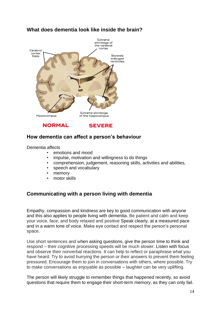

# **What does dementia look like inside the brain?**

## **How dementia can affect a person's behaviour**

Dementia affects

- emotions and mood
- impulse, motivation and willingness to do things
- comprehension, judgement, reasoning skills, activities and abilities,
- speech and vocabulary
- memory
- motor skills

## **Communicating with a person living with dementia**

Empathy, compassion and kindness are key to good communication with anyone and this also applies to people living with dementia. Be patient and calm and keep your voice, face, and body relaxed and positive Speak clearly, at a measured pace and in a warm tone of voice. Make eye contact and respect the person's personal space.

Use short sentences and when asking questions, give the person time to think and respond – their cognitive processing speeds will be much slower. Listen with focus and observe their nonverbal reactions. It can help to reflect or paraphrase what you have heard. Try to avoid hurrying the person or their answers to prevent them feeling pressured. Encourage them to join in conversations with others, where possible. Try to make conversations as enjoyable as possible – laughter can be very uplifting.

The person will likely struggle to remember things that happened recently, so avoid questions that require them to engage their short-term memory, as they can only fail.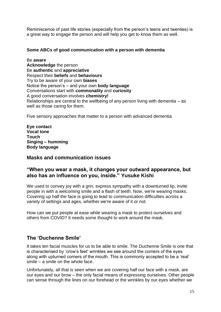Reminiscence of past life stories (especially from the person's teens and twenties) is a great way to engage the person and will help you get to know them as well.

#### **Some ABCs of good communication with a person with dementia**

Be **aware Acknowledge** the person Be **authentic** and **appreciative** Respect their **beliefs** and **behaviours** Try to be aware of your own **biases** Notice the person's – and your own **body language** Conversations start with **commonality** and **curiosity** A good conversation involves **chemistry!** Relationships are central to the wellbeing of any person living with dementia – as well as those caring for them.

Five sensory approaches that matter to a person with advanced dementia

**Eye contact Vocal tone Touch Singing – humming Body language**

#### **Masks and communication issues**

#### **"When you wear a mask, it changes your outward appearance, but also has an influence on you, inside." Yusuke Kishi**

We used to convey joy with a grin, express sympathy with a downturned lip, invite people in with a welcoming smile and a flash of teeth. Now, we're wearing masks. Covering up half the face is going to lead to communication difficulties across a variety of settings and ages, whether we're aware of it or not.

How can we put people at ease while wearing a mask to protect ourselves and others from COVID? It needs some thought to work around the mask.

## **The 'Duchenne Smile'**

It takes ten facial muscles for us to be able to smile. The Duchenne Smile is one that is characterised by 'crow's feet' wrinkles we see around the corners of the eyes along with upturned corners of the mouth. This is commonly accepted to be a 'real' smile – a smile on the whole face.

Unfortunately, all that is seen when we are covering half our face with a mask, are our eyes and our brow – the only facial means of expressing ourselves. Other people can sense through the lines on our forehead or the wrinkles by our eyes whether we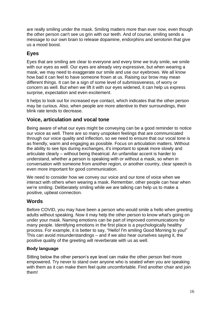are really smiling under the mask. Smiling matters more than ever now, even though the other person can't see us grin with our teeth. And of course, smiling sends a message to our own brain to release dopamine, endorphins and serotonin that give us a mood boost.

# **Eyes**

Eyes that are smiling are clear to everyone and every time we truly smile, we smile with our eyes as well. Our eyes are already very expressive, but when wearing a mask, we may need to exaggerate our smile and use our eyebrows. We all know how bad it can feel to have someone frown at us. Raising our brow may mean different things. It can be a sign of some level of submissiveness, of worry or concern as well. But when we lift it with our eyes widened, it can help us express surprise, expectation and even excitement.

It helps to look out for increased eye contact, which indicates that the other person may be curious. Also, when people are more attentive to their surroundings, their blink rate tends to decrease.

# **Voice, articulation and vocal tone**

Being aware of what our eyes might be conveying can be a good reminder to notice our voice as well. There are so many unspoken feelings that are communicated through our voice quality and inflection, so we need to ensure that our vocal tone is as friendly, warm and engaging as possible. Focus on articulation matters. Without the ability to see lips during exchanges, it's important to speak more slowly and articulate clearly – without being theatrical. An unfamiliar accent is harder to understand, whether a person is speaking with or without a mask, so when in conversation with someone from another region, or another country, clear speech is even more important for good communication.

We need to consider how we convey our voice and our tone of voice when we interact with others when wearing a mask. Remember, other people can hear when we're smiling. Deliberately smiling while we are talking can help us to make a positive, upbeat connection.

## **Words**

Before COVID, you may have been a person who would smile a hello when greeting adults without speaking. Now it may help the other person to know what's going on under your mask. Naming emotions can be part of improved communications for many people. Identifying emotions in the first place is a psychologically healthy process. For example, it is better to say, "Hello! I'm smiling Good Morning to you!" This can avoid misunderstandings – and if we also hear ourselves saying it, the positive quality of the greeting will reverberate with us as well.

#### **Body language**

Sitting below the other person's eye level can make the other person feel more empowered. Try never to stand over anyone who is seated when you are speaking with them as it can make them feel quite uncomfortable. Find another chair and join them!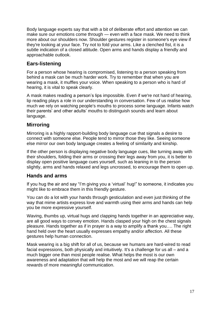Body language experts say that with a bit of deliberate effort and attention we can make sure our emotions come through — even with a face mask. We need to think more about our shoulders now. Shoulder gestures register in someone's eye view if they're looking at your face. Try not to fold your arms. Like a clenched fist, it is a subtle indication of a closed attitude. Open arms and hands display a friendly and approachable outlook.

## **Ears-listening**

For a person whose hearing is compromised, listening to a person speaking from behind a mask can be much harder work. Try to remember that when you are wearing a mask, it muffles your voice. When speaking to a person who is hard of hearing, it is vital to speak clearly.

A mask makes reading a person's lips impossible. Even if we're not hard of hearing, lip reading plays a role in our understanding in conversation. Few of us realise how much we rely on watching people's mouths to process some language. Infants watch their parents' and other adults' mouths to distinguish sounds and learn about language.

# **Mirroring**

Mirroring is a highly rapport-building body language cue that signals a desire to connect with someone else. People tend to mirror those they like. Seeing someone else mirror our own body language creates a feeling of similarity and kinship.

If the other person is displaying negative body language cues, like turning away with their shoulders, folding their arms or crossing their legs away from you, it is better to display open positive language cues yourself, such as leaning in to the person slightly, arms and hands relaxed and legs uncrossed, to encourage them to open up.

## **Hands and arms**

If you hug the air and say "I'm giving you a 'virtual' hug!" to someone, it indicates you might like to embrace them in this friendly gesture.

You can do a lot with your hands through gesticulation and even just thinking of the way that mime artists express love and warmth using their arms and hands can help you be more expressive yourself.

Waving, thumbs up, virtual hugs and clapping hands together in an appreciative way, are all good ways to convey emotion. Hands clasped your high on the chest signals pleasure. Hands together as if in prayer is a way to amplify a thank you…. The right hand held over the heart usually expresses empathy and/or affection. All these gestures help human connection.

Mask wearing is a big shift for all of us, because we humans are hard-wired to read facial expressions, both physically and intuitively. It's a challenge for us all – and a much bigger one than most people realise. What helps the most is our own awareness and adaptation that will help the most and we will reap the certain rewards of more meaningful communication.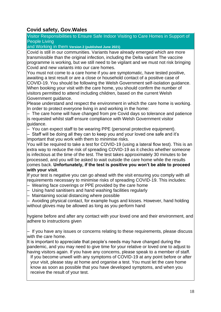# **Covid safety, Gov.Wales**

Visitor Responsibilities to Ensure Safe Indoor Visiting to Care Homes in Support of People Living

and Working in them **Version 2 (published June 2021)** 

• Covid is still in our communities. Variants have already emerged which are more transmissible than the original infection, including the Delta variant The vaccine programme is working, but we still need to be vigilant and we must not risk bringing Covid and new variants into our care homes.

• You must not come to a care home if you are symptomatic, have tested positive, awaiting a test result or are a close or household contact of a positive case of COVID-19. You should be following the Welsh Government self-isolation guidance. • When booking your visit with the care home, you should confirm the number of visitors permitted to attend including children, based on the current Welsh Government guidance.

Please understand and respect the environment in which the care home is working. In order to protect everyone living in and working in the home:

• – The care home will have changed from pre Covid days so tolerance and patience is requested whilst staff ensure compliance with Welsh Government visitor duidance.

• – You can expect staff to be wearing PPE (personal protective equipment).

• – Staff will be doing all they can to keep you and your loved one safe and it's important that you work with them to minimise risks.

• You will be required to take a test for COVID-19 (using a lateral flow test). This is an extra way to reduce the risk of spreading COVID-19 as it checks whether someone is infectious at the time of the test. The test takes approximately 30 minutes to be processed, and you will be asked to wait outside the care home while the results comes back. **Unfortunately, if the test is positive you won't be able to proceed with your visit**.

If your test is negative you can go ahead with the visit ensuring you comply with all requirements necessary to minimise risks of spreading COVID-19. This includes:

- – Wearing face coverings or PPE provided by the care home
- – Using hand sanitisers and hand washing facilities regularly
- – Maintaining social distancing where possible

• – Avoiding physical contact, for example hugs and kisses. However, hand holding without gloves may be allowed as long as you perform hand

hygiene before and after any contact with your loved one and their environment, and adhere to instructions given

• – If you have any issues or concerns relating to these requirements, please discuss with the care home.

It is important to appreciate that people's needs may have changed during the pandemic, and you may need to give time for your relative or loved one to adjust to having visitors again. If you have any concerns, please speak to a member of staff.

If you become unwell with any symptoms of COVID-19 at any point before or after your visit, please stay at home and organise a test. You must let the care home know as soon as possible that you have developed symptoms, and when you receive the result of your test.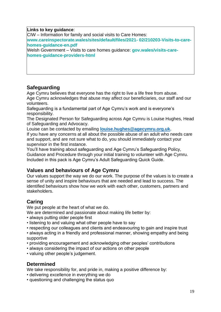#### **Links to key guidance**:

CIW – Information for family and social visits to Care Homes: **www.careinspectorate.wales/sites/default/files/2021- 02/210203-Visits-to-carehomes-guidance-en.pdf**

Welsh Government – Visits to care homes guidance: **gov.wales/visits-carehomes-guidance-providers-html** 

## **Safeguarding**

Age Cymru believes that everyone has the right to live a life free from abuse. Age Cymru acknowledges that abuse may affect our beneficiaries, our staff and our volunteers.

Safeguarding is a fundamental part of Age Cymru's work and is everyone's responsibility.

The Designated Person for Safeguarding across Age Cymru is Louise Hughes, Head of Safeguarding and Advocacy.

Louise can be contacted by emailing **[louise.hughes@agecymru.org.uk.](mailto:louise.hughes@agecymru.org.uk)**

If you have any concerns at all about the possible abuse of an adult who needs care and support, and are not sure what to do, you should immediately contact your supervisor in the first instance.

You'll have training about safeguarding and Age Cymru's Safeguarding Policy, Guidance and Procedure through your initial training to volunteer with Age Cymru. Included in this pack is Age Cymru's Adult Safeguarding Quick Guide.

## **Values and behaviours of Age Cymru**

Our values support the way we do our work. The purpose of the values is to create a sense of unity and inspire behaviours that are needed and lead to success. The identified behaviours show how we work with each other, customers, partners and stakeholders.

## **Caring**

We put people at the heart of what we do.

We are determined and passionate about making life better by:

- always putting older people first
- listening to and valuing what other people have to say
- respecting our colleagues and clients and endeavouring to gain and inspire trust

• always acting in a friendly and professional manner, showing empathy and being supportive

- providing encouragement and acknowledging other peoples' contributions
- always considering the impact of our actions on other people
- valuing other people's judgement.

## **Determined**

We take responsibility for, and pride in, making a positive difference by:

- delivering excellence in everything we do
- questioning and challenging the status quo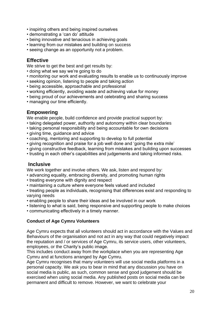- inspiring others and being inspired ourselves
- demonstrating a 'can do' attitude
- being innovative and tenacious in achieving goals
- learning from our mistakes and building on success
- seeing change as an opportunity not a problem.

## **Effective**

We strive to get the best and get results by:

- doing what we say we're going to do
- monitoring our work and evaluating results to enable us to continuously improve
- seeking opinion, listening to people and taking action
- being accessible, approachable and professional
- working efficiently, avoiding waste and achieving value for money
- being proud of our achievements and celebrating and sharing success
- managing our time efficiently.

## **Empowering**

We enable people, build confidence and provide practical support by:

- taking delegated power, authority and autonomy within clear boundaries
- taking personal responsibility and being accountable for own decisions
- giving time, guidance and advice
- coaching, mentoring and supporting to develop to full potential
- giving recognition and praise for a job well done and 'going the extra mile'
- giving constructive feedback, learning from mistakes and building upon successes
- trusting in each other's capabilities and judgements and taking informed risks.

## **Inclusive**

We work together and involve others. We ask, listen and respond by:

- advancing equality, embracing diversity, and promoting human rights
- treating everyone with dignity and respect
- maintaining a culture where everyone feels valued and included

• treating people as individuals, recognising that differences exist and responding to varying needs

- enabling people to share their ideas and be involved in our work
- listening to what is said, being responsive and supporting people to make choices
- communicating effectively in a timely manner.

#### **Conduct of Age Cymru Volunteers**

Age Cymru expects that all volunteers should act in accordance with the Values and Behaviours of the organisation and not act in any way that could negatively impact the reputation and / or services of Age Cymru, its service users, other volunteers, employees, or the Charity's public image.

This includes conduct away from the workplace when you are representing Age Cymru and at functions arranged by Age Cymru.

Age Cymru recognises that many volunteers will use social media platforms in a personal capacity. We ask you to bear in mind that any discussion you have on social media is public, as such, common sense and good judgement should be exercised when using social media. Any published posts on social media can be permanent and difficult to remove. However, we want to celebrate your